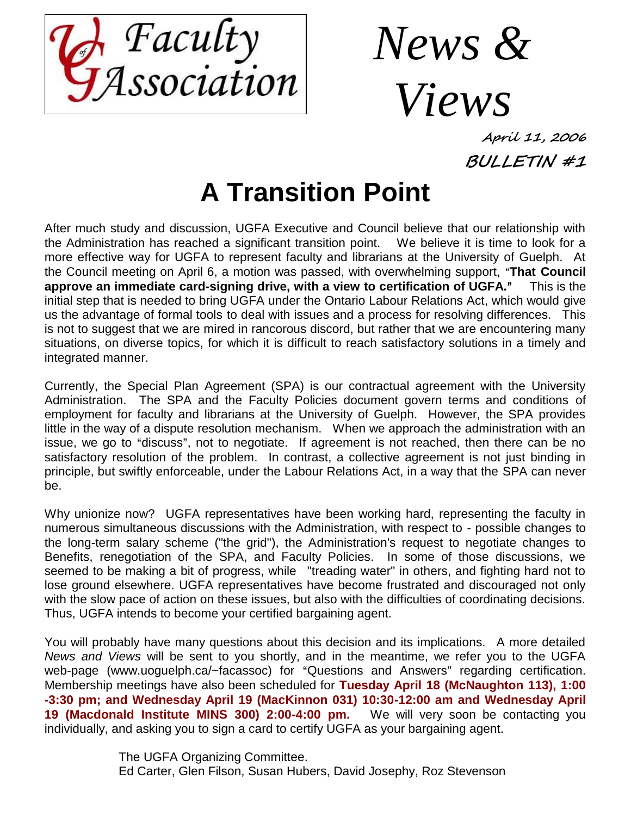

*News & Views*

**April 11, 2006 BULLETIN #1**

# **A Transition Point**

After much study and discussion, UGFA Executive and Council believe that our relationship with the Administration has reached a significant transition point. We believe it is time to look for a more effective way for UGFA to represent faculty and librarians at the University of Guelph. At the Council meeting on April 6, a motion was passed, with overwhelming support, "That Council **approve an immediate card-signing drive, with a view to certification of UGFA.<sup>***n***</sup> This is the** initial step that is needed to bring UGFA under the Ontario Labour Relations Act, which would give us the advantage of formal tools to deal with issues and a process for resolving differences. This is not to suggest that we are mired in rancorous discord, but rather that we are encountering many situations, on diverse topics, for which it is difficult to reach satisfactory solutions in a timely and integrated manner.

Currently, the Special Plan Agreement (SPA) is our contractual agreement with the University Administration. The SPA and the Faculty Policies document govern terms and conditions of employment for faculty and librarians at the University of Guelph. However, the SPA provides little in the way of a dispute resolution mechanism. When we approach the administration with an issue, we go to "discuss", not to negotiate. If agreement is not reached, then there can be no satisfactory resolution of the problem. In contrast, a collective agreement is not just binding in principle, but swiftly enforceable, under the Labour Relations Act, in a way that the SPA can never be.

Why unionize now? UGFA representatives have been working hard, representing the faculty in numerous simultaneous discussions with the Administration, with respect to - possible changes to the long-term salary scheme ("the grid"), the Administration's request to negotiate changes to Benefits, renegotiation of the SPA, and Faculty Policies. In some of those discussions, we seemed to be making a bit of progress, while "treading water" in others, and fighting hard not to lose ground elsewhere. UGFA representatives have become frustrated and discouraged not only with the slow pace of action on these issues, but also with the difficulties of coordinating decisions. Thus, UGFA intends to become your certified bargaining agent.

You will probably have many questions about this decision and its implications. A more detailed *News and Views* will be sent to you shortly, and in the meantime, we refer you to the UGFA web-page (www.uoguelph.ca/~facassoc) for "Questions and Answers" regarding certification. Membership meetings have also been scheduled for **Tuesday April 18 (McNaughton 113), 1:00 -3:30 pm; and Wednesday April 19 (MacKinnon 031) 10:30-12:00 am and Wednesday April 19 (Macdonald Institute MINS 300) 2:00-4:00 pm.** We will very soon be contacting you individually, and asking you to sign a card to certify UGFA as your bargaining agent.

> The UGFA Organizing Committee. Ed Carter, Glen Filson, Susan Hubers, David Josephy, Roz Stevenson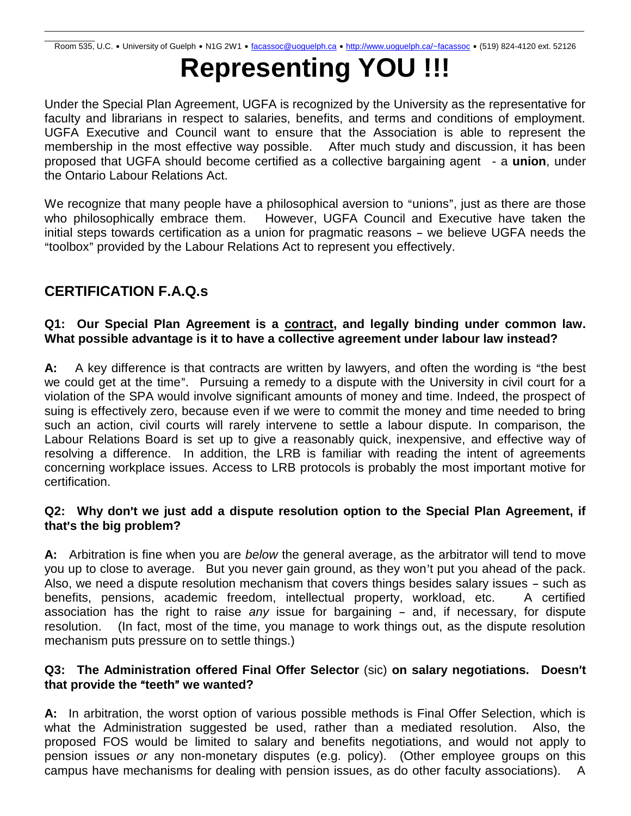# **Representing YOU !!!**

Under the Special Plan Agreement, UGFA is recognized by the University as the representative for faculty and librarians in respect to salaries, benefits, and terms and conditions of employment. UGFA Executive and Council want to ensure that the Association is able to represent the membership in the most effective way possible. After much study and discussion, it has been proposed that UGFA should become certified as a collective bargaining agent - a **union**, under the Ontario Labour Relations Act.

We recognize that many people have a philosophical aversion to "unions", just as there are those who philosophically embrace them. However, UGFA Council and Executive have taken the initial steps towards certification as a union for pragmatic reasons - we believe UGFA needs the "toolbox" provided by the Labour Relations Act to represent you effectively.

# **CERTIFICATION F.A.Q.s**

# **Q1: Our Special Plan Agreement is a contract, and legally binding under common law. What possible advantage is it to have a collective agreement under labour law instead?**

A: A key difference is that contracts are written by lawyers, and often the wording is "the best we could get at the time". Pursuing a remedy to a dispute with the University in civil court for a violation of the SPA would involve significant amounts of money and time. Indeed, the prospect of suing is effectively zero, because even if we were to commit the money and time needed to bring such an action, civil courts will rarely intervene to settle a labour dispute. In comparison, the Labour Relations Board is set up to give a reasonably quick, inexpensive, and effective way of resolving a difference. In addition, the LRB is familiar with reading the intent of agreements concerning workplace issues. Access to LRB protocols is probably the most important motive for certification.

#### **Q2: Why don't we just add a dispute resolution option to the Special Plan Agreement, if that**=**s the big problem?**

**A:** Arbitration is fine when you are *below* the general average, as the arbitrator will tend to move you up to close to average. But you never gain ground, as they won't put you ahead of the pack. Also, we need a dispute resolution mechanism that covers things besides salary issues - such as benefits, pensions, academic freedom, intellectual property, workload, etc. A certified association has the right to raise *any* issue for bargaining - and, if necessary, for dispute resolution. (In fact, most of the time, you manage to work things out, as the dispute resolution mechanism puts pressure on to settle things.)

# **Q3: The Administration offered Final Offer Selector** (sic) on salary negotiations. Doesn't **that provide the "teeth" we wanted?**

**A:** In arbitration, the worst option of various possible methods is Final Offer Selection, which is what the Administration suggested be used, rather than a mediated resolution. Also, the proposed FOS would be limited to salary and benefits negotiations, and would not apply to pension issues *or* any non-monetary disputes (e.g. policy). (Other employee groups on this campus have mechanisms for dealing with pension issues, as do other faculty associations). A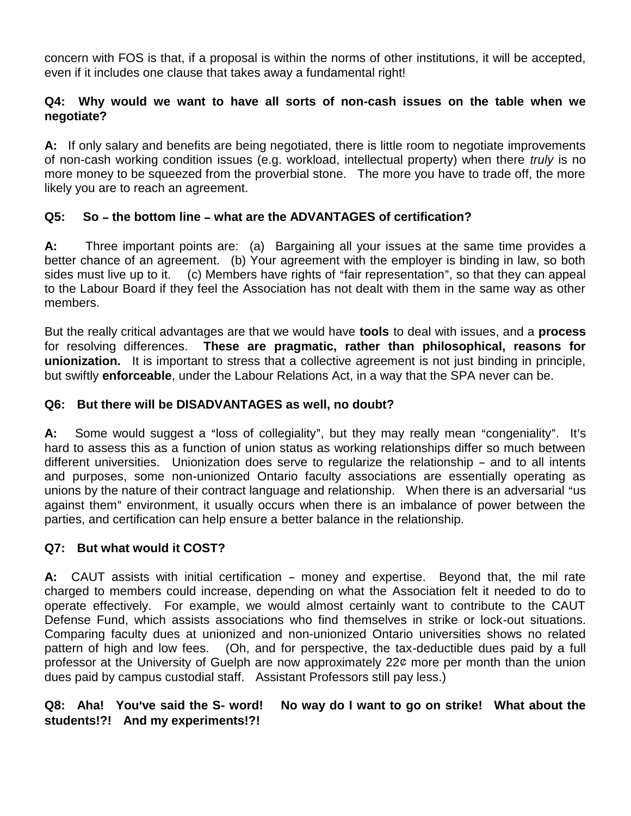concern with FOS is that, if a proposal is within the norms of other institutions, it will be accepted, even if it includes one clause that takes away a fundamental right!

#### **Q4: Why would we want to have all sorts of non-cash issues on the table when we negotiate?**

**A:** If only salary and benefits are being negotiated, there is little room to negotiate improvements of non-cash working condition issues (e.g. workload, intellectual property) when there *truly* is no more money to be squeezed from the proverbial stone. The more you have to trade off, the more likely you are to reach an agreement.

# **Q5:** So – the bottom line – what are the ADVANTAGES of certification?

**A:** Three important points are: (a) Bargaining all your issues at the same time provides a better chance of an agreement. (b) Your agreement with the employer is binding in law, so both sides must live up to it. (c) Members have rights of "fair representation", so that they can appeal to the Labour Board if they feel the Association has not dealt with them in the same way as other members.

But the really critical advantages are that we would have **tools** to deal with issues, and a **process** for resolving differences. **These are pragmatic, rather than philosophical, reasons for unionization.** It is important to stress that a collective agreement is not just binding in principle, but swiftly **enforceable**, under the Labour Relations Act, in a way that the SPA never can be.

#### **Q6: But there will be DISADVANTAGES as well, no doubt?**

**A:** Some would suggest a "loss of collegiality", but they may really mean "congeniality". It's hard to assess this as a function of union status as working relationships differ so much between different universities. Unionization does serve to regularize the relationship - and to all intents and purposes, some non-unionized Ontario faculty associations are essentially operating as unions by the nature of their contract language and relationship. When there is an adversarial "us against them" environment, it usually occurs when there is an imbalance of power between the parties, and certification can help ensure a better balance in the relationship.

# **Q7: But what would it COST?**

A: CAUT assists with initial certification – money and expertise. Beyond that, the mil rate charged to members could increase, depending on what the Association felt it needed to do to operate effectively. For example, we would almost certainly want to contribute to the CAUT Defense Fund, which assists associations who find themselves in strike or lock-out situations. Comparing faculty dues at unionized and non-unionized Ontario universities shows no related pattern of high and low fees. (Oh, and for perspective, the tax-deductible dues paid by a full professor at the University of Guelph are now approximately  $22¢$  more per month than the union dues paid by campus custodial staff. Assistant Professors still pay less.)

#### **Q8:** Aha! You've said the S- word! No way do I want to go on strike! What about the **students!?! And my experiments!?!**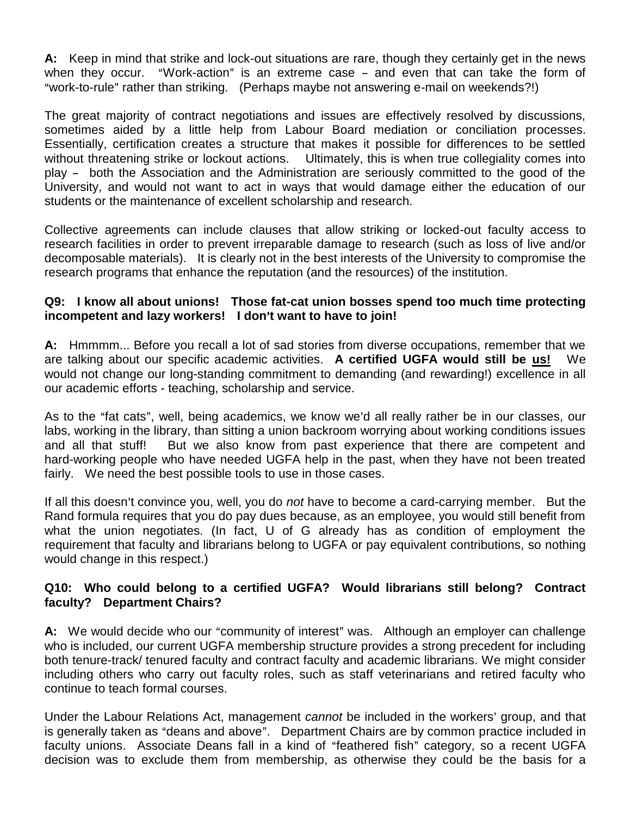**A:** Keep in mind that strike and lock-out situations are rare, though they certainly get in the news when they occur. "Work-action" is an extreme case  $-$  and even that can take the form of "work-to-rule" rather than striking. (Perhaps maybe not answering e-mail on weekends?!)

The great majority of contract negotiations and issues are effectively resolved by discussions, sometimes aided by a little help from Labour Board mediation or conciliation processes. Essentially, certification creates a structure that makes it possible for differences to be settled without threatening strike or lockout actions. Ultimately, this is when true collegiality comes into play - both the Association and the Administration are seriously committed to the good of the University, and would not want to act in ways that would damage either the education of our students or the maintenance of excellent scholarship and research.

Collective agreements can include clauses that allow striking or locked-out faculty access to research facilities in order to prevent irreparable damage to research (such as loss of live and/or decomposable materials). It is clearly not in the best interests of the University to compromise the research programs that enhance the reputation (and the resources) of the institution.

#### **Q9: I know all about unions! Those fat-cat union bosses spend too much time protecting incompetent and lazy workers! I don't want to have to join!**

**A:** Hmmmm... Before you recall a lot of sad stories from diverse occupations, remember that we are talking about our specific academic activities. **A certified UGFA would still be us!** We would not change our long-standing commitment to demanding (and rewarding!) excellence in all our academic efforts - teaching, scholarship and service.

As to the "fat cats", well, being academics, we know we'd all really rather be in our classes, our labs, working in the library, than sitting a union backroom worrying about working conditions issues and all that stuff! But we also know from past experience that there are competent and hard-working people who have needed UGFA help in the past, when they have not been treated fairly. We need the best possible tools to use in those cases.

If all this doesn't convince you, well, you do *not* have to become a card-carrying member. But the Rand formula requires that you do pay dues because, as an employee, you would still benefit from what the union negotiates. (In fact, U of G already has as condition of employment the requirement that faculty and librarians belong to UGFA or pay equivalent contributions, so nothing would change in this respect.)

# **Q10: Who could belong to a certified UGFA? Would librarians still belong? Contract faculty? Department Chairs?**

**A:** We would decide who our "community of interest" was. Although an employer can challenge who is included, our current UGFA membership structure provides a strong precedent for including both tenure-track/ tenured faculty and contract faculty and academic librarians. We might consider including others who carry out faculty roles, such as staff veterinarians and retired faculty who continue to teach formal courses.

Under the Labour Relations Act, management *cannot* be included in the workers' group, and that is generally taken as "deans and above". Department Chairs are by common practice included in faculty unions. Associate Deans fall in a kind of "feathered fish" category, so a recent UGFA decision was to exclude them from membership, as otherwise they could be the basis for a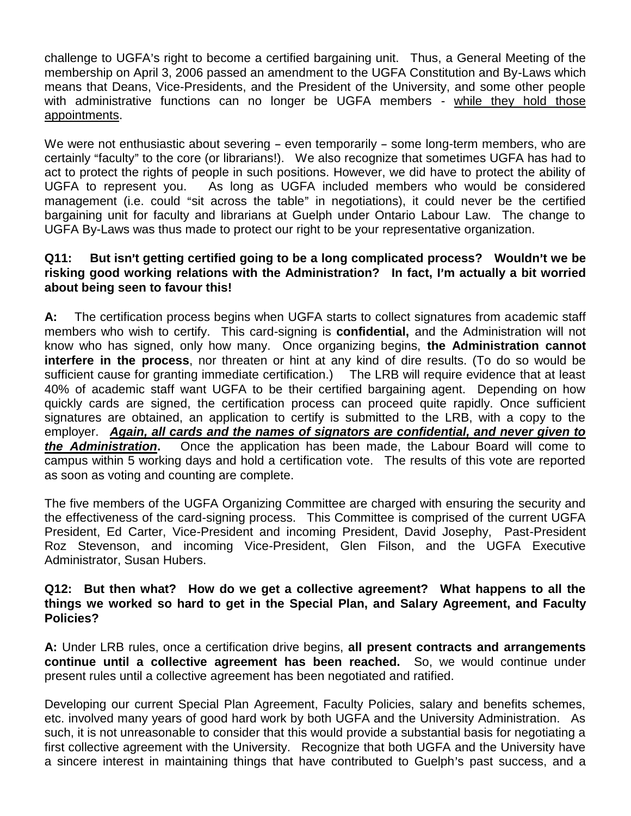challenge to UGFA's right to become a certified bargaining unit. Thus, a General Meeting of the membership on April 3, 2006 passed an amendment to the UGFA Constitution and By-Laws which means that Deans, Vice-Presidents, and the President of the University, and some other people with administrative functions can no longer be UGFA members - while they hold those appointments.

We were not enthusiastic about severing  $-$  even temporarily  $-$  some long-term members, who are certainly "faculty" to the core (or librarians!). We also recognize that sometimes UGFA has had to act to protect the rights of people in such positions. However, we did have to protect the ability of UGFA to represent you. As long as UGFA included members who would be considered management (i.e. could "sit across the table" in negotiations), it could never be the certified bargaining unit for faculty and librarians at Guelph under Ontario Labour Law. The change to UGFA By-Laws was thus made to protect our right to be your representative organization.

#### **Q11:** But isn't getting certified going to be a long complicated process? Wouldn't we be risking good working relations with the Administration? In fact, I'm actually a bit worried **about being seen to favour this!**

**A:** The certification process begins when UGFA starts to collect signatures from academic staff members who wish to certify. This card-signing is **confidential,** and the Administration will not know who has signed, only how many. Once organizing begins, **the Administration cannot interfere in the process**, nor threaten or hint at any kind of dire results. (To do so would be sufficient cause for granting immediate certification.) The LRB will require evidence that at least 40% of academic staff want UGFA to be their certified bargaining agent. Depending on how quickly cards are signed, the certification process can proceed quite rapidly. Once sufficient signatures are obtained, an application to certify is submitted to the LRB, with a copy to the employer. *Again, all cards and the names of signators are confidential, and never given to the Administration***.** Once the application has been made, the Labour Board will come to campus within 5 working days and hold a certification vote. The results of this vote are reported as soon as voting and counting are complete.

The five members of the UGFA Organizing Committee are charged with ensuring the security and the effectiveness of the card-signing process. This Committee is comprised of the current UGFA President, Ed Carter, Vice-President and incoming President, David Josephy, Past-President Roz Stevenson, and incoming Vice-President, Glen Filson, and the UGFA Executive Administrator, Susan Hubers.

#### **Q12: But then what? How do we get a collective agreement? What happens to all the things we worked so hard to get in the Special Plan, and Salary Agreement, and Faculty Policies?**

**A:** Under LRB rules, once a certification drive begins, **all present contracts and arrangements continue until a collective agreement has been reached.** So, we would continue under present rules until a collective agreement has been negotiated and ratified.

Developing our current Special Plan Agreement, Faculty Policies, salary and benefits schemes, etc. involved many years of good hard work by both UGFA and the University Administration. As such, it is not unreasonable to consider that this would provide a substantial basis for negotiating a first collective agreement with the University. Recognize that both UGFA and the University have a sincere interest in maintaining things that have contributed to Guelph's past success, and a